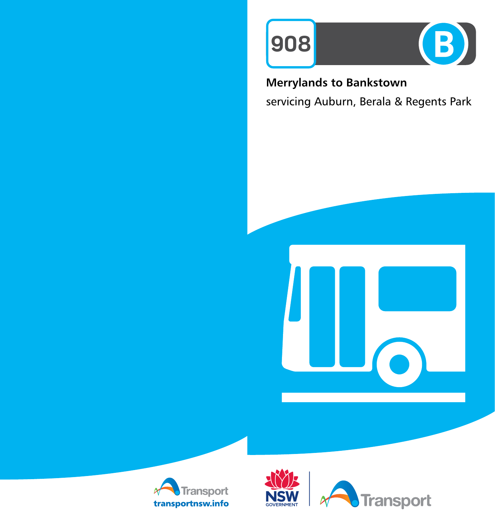

Merrylands to Bankstown servicing Auburn, Berala & Regents Park





 $\mathbf{L}_{\mathbf{O}}$ 

 $\blacksquare$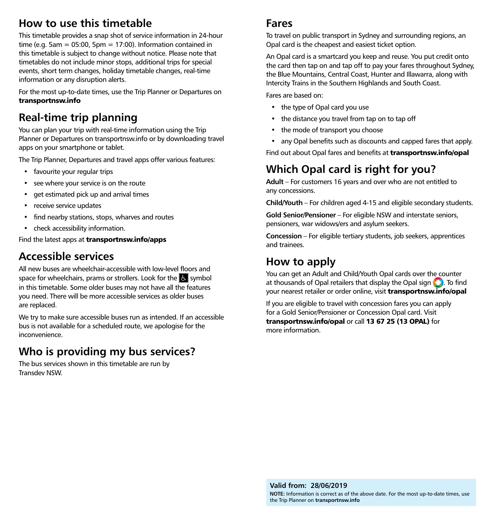### How to use this timetable

This timetable provides a snap shot of service information in 24-hour time (e.g. 5am =  $05:00$ , 5pm =  $17:00$ ). Information contained in this timetable is subject to change without notice. Please note that timetables do not include minor stops, additional trips for special events, short term changes, holiday timetable changes, real-time information or any disruption alerts.

For the most up-to-date times, use the Trip Planner or Departures on **transportnsw.info**

## Real-time trip planning

You can plan your trip with real-time information using the Trip Planner or Departures on transportnsw.info or by downloading travel apps on your smartphone or tablet.

The Trip Planner, Departures and travel apps offer various features:

- favourite your regular trips
- see where your service is on the route
- get estimated pick up and arrival times
- receive service updates
- find nearby stations, stops, wharves and routes
- check accessibility information.

Find the latest apps at **transportnsw.info/apps**

### Accessible services

All new buses are wheelchair-accessible with low-level floors and space for wheelchairs, prams or strollers. Look for the  $\mathbb{S}$  symbol in this timetable. Some older buses may not have all the features you need. There will be more accessible services as older buses are replaced.

We try to make sure accessible buses run as intended. If an accessible bus is not available for a scheduled route, we apologise for the inconvenience.

#### Who is providing my bus services?

The bus services shown in this timetable are run by Transdev NSW.

### Fares

To travel on public transport in Sydney and surrounding regions, an Opal card is the cheapest and easiest ticket option.

An Opal card is a smartcard you keep and reuse. You put credit onto the card then tap on and tap off to pay your fares throughout Sydney, the Blue Mountains, Central Coast, Hunter and Illawarra, along with Intercity Trains in the Southern Highlands and South Coast.

Fares are based on:

- the type of Opal card you use
- the distance you travel from tap on to tap off
- the mode of transport you choose
- any Opal benefits such as discounts and capped fares that apply.

Find out about Opal fares and benefits at **transportnsw.info/opal**

## Which Opal card is right for you?

Adult – For customers 16 years and over who are not entitled to any concessions.

Child/Youth – For children aged 4-15 and eligible secondary students.

Gold Senior/Pensioner – For eligible NSW and interstate seniors, pensioners, war widows/ers and asylum seekers.

Concession – For eligible tertiary students, job seekers, apprentices and trainees.

#### How to apply

You can get an Adult and Child/Youth Opal cards over the counter at thousands of Opal retailers that display the Opal sign  $\bigcirc$ . To find your nearest retailer or order online, visit **transportnsw.info/opal**

If you are eligible to travel with concession fares you can apply for a Gold Senior/Pensioner or Concession Opal card. Visit **transportnsw.info/opal** or call **13 67 25 (13 OPAL)** for more information.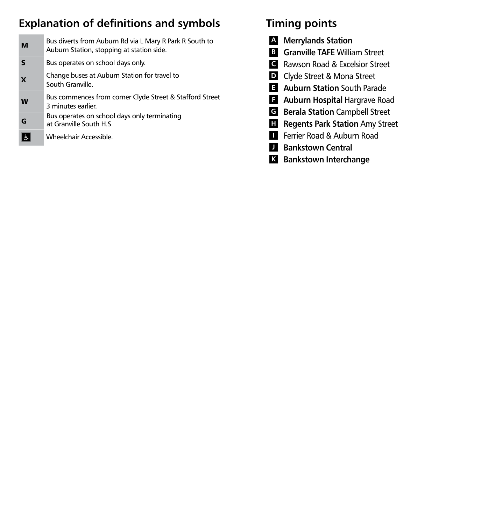## Explanation of definitions and symbols

| M | Bus diverts from Auburn Rd via L Mary R Park R South to<br>Auburn Station, stopping at station side. |
|---|------------------------------------------------------------------------------------------------------|
|   | Bus operates on school days only.                                                                    |
| X | Change buses at Auburn Station for travel to<br>South Granville.                                     |
| W | Bus commences from corner Clyde Street & Stafford Street<br>3 minutes earlier.                       |
| G | Bus operates on school days only terminating<br>at Granville South H.S                               |
|   | Wheelchair Accessible.                                                                               |

### Timing points

- A Merrylands Station
- **B** Granville TAFE William Street
- C Rawson Road & Excelsior Street
- D Clyde Street & Mona Street
- **E** Auburn Station South Parade
- **F** Auburn Hospital Hargrave Road
- G Berala Station Campbell Street
- **H** Regents Park Station Amy Street
- **I** Ferrier Road & Auburn Road
- **D** Bankstown Central
- K Bankstown Interchange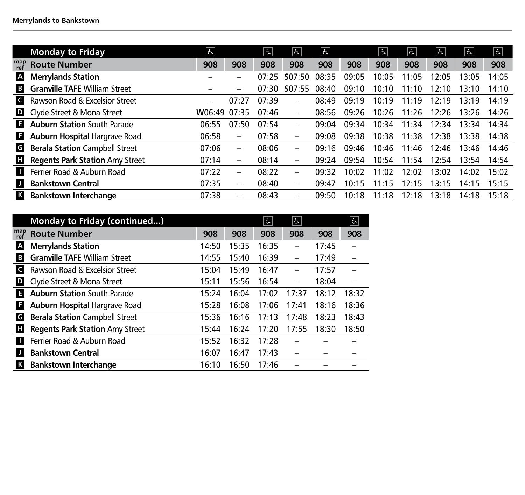|              | <b>Monday to Friday</b>                | $\overline{6}$ |                          | $\vert$ & | $\mathbb{P}$             | $\boxed{6}$ |       | န္    | $\phi$ | હિ.   | န္     | $\boxed{6}$ |
|--------------|----------------------------------------|----------------|--------------------------|-----------|--------------------------|-------------|-------|-------|--------|-------|--------|-------------|
| map<br>ref   | <b>Route Number</b>                    | 908            | 908                      | 908       | 908                      | 908         | 908   | 908   | 908    | 908   | 908    | 908         |
| A            | <b>Merrylands Station</b>              |                | $\overline{\phantom{m}}$ | 07:25     | SO7:50                   | 08:35       | 09:05 | 10:05 | 11:05  | 12:05 | 13:05  | 14:05       |
| B            | <b>Granville TAFE William Street</b>   |                |                          | 07:30     | S07:55                   | 08:40       | 09:10 | 10:10 | 11:10  | 12:10 | 13:10. | 14:10       |
| $\mathsf{C}$ | Rawson Road & Excelsior Street         | -              | 07:27                    | 07:39     | —                        | 08:49       | 09:19 | 10:19 | 11:19  | 12:19 | 13:19  | 14.19       |
| D            | Clyde Street & Mona Street             | W06:49         | 07:35                    | 07:46     | $\qquad \qquad$          | 08:56       | 09:26 | 10:26 | 11:26  | 12:26 | 13:26  | 14:26       |
| E            | <b>Auburn Station South Parade</b>     | 06:55          | 07:50                    | 07:54     | $\overline{\phantom{0}}$ | 09.04       | 09:34 | 10:34 | 11:34  | 12.34 | 13:34  | 14.34       |
| E            | <b>Auburn Hospital Hargrave Road</b>   | 06:58          | $\overline{\phantom{m}}$ | 07:58     | $\qquad \qquad -$        | 09:08       | 09:38 | 10:38 | 11:38  | 12:38 | 13:38  | 14:38       |
| G            | <b>Berala Station Campbell Street</b>  | 07:06          | $\overline{\phantom{m}}$ | 08:06     | $\qquad \qquad -$        | 09:16       | 09:46 | 10:46 | 11:46  | 12:46 | 13:46  | 14:46       |
| Ш            | <b>Regents Park Station Amy Street</b> | 07:14          | $\overline{\phantom{m}}$ | 08:14     | $\qquad \qquad -$        | 09:24       | 09:54 | 10:54 | 11:54  | 12:54 | 13:54  | 14:54       |
| Ш            | Ferrier Road & Auburn Road             | 07:22          | $\overline{\phantom{m}}$ | 08:22     | $\qquad \qquad -$        | 09.32       | 10:02 | 11:02 | 12:02  | 13:02 | 14:02  | 15:02       |
| IJ           | <b>Bankstown Central</b>               | 07:35          | $\overline{\phantom{m}}$ | 08:40     | $\qquad \qquad -$        | 09:47       | 10:15 | 11:15 | 12:15  | 13:15 | 14:15  | 15:15       |
| K            | <b>Bankstown Interchange</b>           | 07:38          | $\overline{\phantom{0}}$ | 08:43     | $\qquad \qquad -$        | 09:50       | 10:18 | 11:18 | 12:18  | 13:18 | 14:18  | 15:18       |

|              | Monday to Friday (continued)           |       |       | <sub>6</sub> | <sub>6</sub> |       | e     |
|--------------|----------------------------------------|-------|-------|--------------|--------------|-------|-------|
| map<br>ref   | <b>Route Number</b>                    | 908   | 908   | 908          | 908          | 908   | 908   |
| A            | <b>Merrylands Station</b>              | 14:50 | 15:35 | 16:35        |              | 17:45 |       |
| B            | <b>Granville TAFE William Street</b>   | 14:55 | 15:40 | 16:39        |              | 17:49 |       |
| $\mathsf{C}$ | Rawson Road & Excelsior Street         | 15:04 | 15:49 | 16:47        |              | 17:57 |       |
| D            | Clyde Street & Mona Street             | 15:11 | 15:56 | 16:54        | -            | 18:04 |       |
| E            | <b>Auburn Station South Parade</b>     | 15:24 | 16:04 | 17:02        | 17:37        | 18:12 | 18:32 |
| F.           | <b>Auburn Hospital Hargrave Road</b>   | 15:28 | 16:08 | 17:06        | 17:41        | 18:16 | 18:36 |
| G            | <b>Berala Station Campbell Street</b>  | 15:36 | 16:16 | 17:13        | 17:48        | 18:23 | 18:43 |
| н            | <b>Regents Park Station Amy Street</b> | 15:44 | 16:24 | 17:20        | 17:55        | 18:30 | 18:50 |
|              | Ferrier Road & Auburn Road             | 15:52 | 16:32 | 17:28        |              |       |       |
| IJ           | <b>Bankstown Central</b>               | 16:07 | 16:47 | 17:43        |              |       |       |
| K            | <b>Bankstown Interchange</b>           | 16:10 | 16:50 | 17:46        |              |       |       |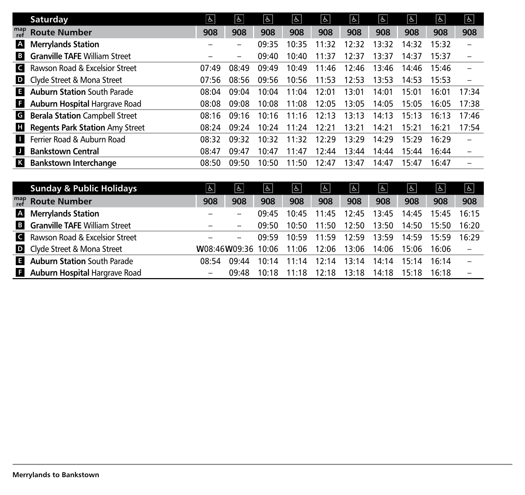|              | Saturday                               | $\Delta$ | $\sigma$ | $\boxed{d}$ | $\mathfrak{F}$ | હિ $\vert$ | $\mathfrak{S}$ | L.    | $\mathfrak{S}% _{A}^{\alpha\beta}$ | $\overline{a}$ | $\boxed{6}$       |
|--------------|----------------------------------------|----------|----------|-------------|----------------|------------|----------------|-------|------------------------------------|----------------|-------------------|
| map<br>ref   | <b>Route Number</b>                    | 908      | 908      | 908         | 908            | 908        | 908            | 908   | 908                                | 908            | 908               |
| I A          | <b>Merrylands Station</b>              |          |          | 09:35       | 10:35          | 11:32      | 12:32          | 13:32 | 14:32                              | 15:32          |                   |
| B            | <b>Granville TAFE William Street</b>   |          |          | 09:40       | 10:40          | 11:37      | 12:37          | 13:37 | 14:37                              | 15:37          |                   |
| $\mathsf{C}$ | Rawson Road & Excelsior Street         | 07:49    | 08:49    | 09:49       | 10:49          | 11:46      | 12:46          | 13:46 | 14:46                              | 15:46          |                   |
| D            | Clyde Street & Mona Street             | 07:56    | 08:56    | 09:56       | 10:56          | 11:53      | 12:53          | 13:53 | 14:53                              | 15:53          | $\qquad \qquad -$ |
| E            | <b>Auburn Station South Parade</b>     | 08:04    | 09:04    | 10:04       | 11:04          | 12:01      | 13:01          | 14:01 | 15:01                              | 16:01          | 17:34             |
| IF.          | <b>Auburn Hospital Hargrave Road</b>   | 08:08    | 09:08    | 10:08       | 11:08          | 12:05      | 13:05          | 14:05 | 15:05                              | 16:05          | 17:38             |
| G            | <b>Berala Station Campbell Street</b>  | 08:16    | 09:16    | 10:16       | 11:16          | 12:13      | 13:13          | 14:13 | 15:13                              | 16:13          | 17:46             |
| Ш            | <b>Regents Park Station Amy Street</b> | 08:24    | 09:24    | 10:24       | 11:24          | 12:21      | 13:21          | 14:21 | 15:21                              | 16:21          | 17.54             |
| ш            | Ferrier Road & Auburn Road             | 08:32    | 09:32    | 10:32       | 11:32          | 12:29      | 13:29          | 14:29 | 15:29                              | 16:29          |                   |
| D            | <b>Bankstown Central</b>               | 08:47    | 09:47    | 10:47       | 11:47          | 12:44      | 13:44          | 14:44 | 15:44                              | 16:44          |                   |
| l K          | <b>Bankstown Interchange</b>           | 08:50    | 09:50    | 10:50       | 11:50          | 12:47      | 13:47          | 14:47 | 15:47                              | 16:47          |                   |

|              | <b>Sunday &amp; Public Holidays</b>    | န္    | န္                 | $\boxed{d}$ | န $\mid$ | $ \mathbf{f}$ | $\overline{6}$ | $ \mathbf{f} $ | હે.   | &     | $\lceil$ & $\rceil$ |
|--------------|----------------------------------------|-------|--------------------|-------------|----------|---------------|----------------|----------------|-------|-------|---------------------|
| map<br>ref   | <b>Route Number</b>                    | 908   | 908                | 908         | 908      | 908           | 908            | 908            | 908   | 908   | 908                 |
| $\mathbf{A}$ | <b>Merrylands Station</b>              |       |                    | 09.45       | 10:45    | 11:45         | 12:45          | 13:45          | 14:45 | 15:45 | 16.15               |
|              | <b>B</b> Granville TAFE William Street |       |                    | 09:50       | 10:50    | 11:50         | 12:50          | 13:50          | 14:50 | 15:50 | 16:20               |
|              | Rawson Road & Excelsior Street         |       |                    | 09.59       | 10:59    | 11:59         | 12:59          | 13:59          | 14:59 | 15.59 | 16.29               |
|              | <b>D</b> Clyde Street & Mona Street    |       | W08:46W09:36 10:06 |             | 11:06    | 12:06         | 13:06          | 14:06          | 15:06 | 16:06 |                     |
| E.           | <b>Auburn Station South Parade</b>     | 08.54 | 09.44              | 10:14       | 11.14    | 12:14         | 13:14          | 14:14          | 15:14 | 16.14 | $\equiv$            |
| F.           | <b>Auburn Hospital Hargrave Road</b>   | -     | 09:48              | 10:18       | 11:18    | 12:18         | 13:18          | 14:18          | 15:18 | 16:18 |                     |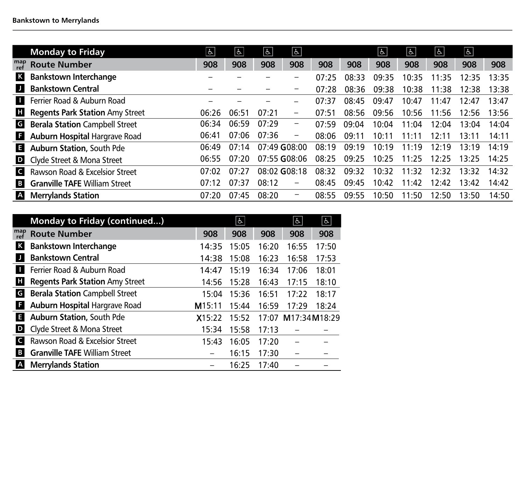|              | <b>Monday to Friday</b>                | $\left  \mathbf{P} \right $ | $\frac{1}{2}$ | $ \mathbf{e} $ | $\overline{6}$    |       |       | $\sigma$ | $ \mathbf{f} $ | $\sigma$ | $ \mathbf{f} $ |       |
|--------------|----------------------------------------|-----------------------------|---------------|----------------|-------------------|-------|-------|----------|----------------|----------|----------------|-------|
| map<br>ref   | <b>Route Number</b>                    | 908                         | 908           | 908            | 908               | 908   | 908   | 908      | 908            | 908      | 908            | 908   |
| K            | <b>Bankstown Interchange</b>           |                             |               |                | -                 | 07:25 | 08:33 | 09:35    | 10:35          | 11:35    | 12.35          | 13:35 |
| IJ           | <b>Bankstown Central</b>               |                             |               |                | -                 | 07:28 | 08:36 | 09:38    | 10:38          | 11:38    | 12:38          | 13:38 |
| Ш            | Ferrier Road & Auburn Road             |                             |               |                | —                 | 07:37 | 08:45 | 09:47    | 10:47          | 11:47    | 12:47          | 13:47 |
| Ш            | <b>Regents Park Station Amy Street</b> | 06:26                       | 06:51         | 07:21          | -                 | 07:51 | 08:56 | 09:56    | 10:56          | 11:56    | 12:56          | 13:56 |
| G            | <b>Berala Station Campbell Street</b>  | 06:34                       | 06:59         | 07:29          | -                 | 07.59 | 09:04 | 10:04    | 11:04          | 12:04    | 13:04          | 14:04 |
| E            | <b>Auburn Hospital Hargrave Road</b>   | 06:41                       | 07:06         | 07:36          | $\qquad \qquad -$ | 08:06 | 09:11 | 10:11    | 11:11          | 12:1     | 13:11          | 14:11 |
| В            | <b>Auburn Station, South Pde</b>       | 06:49                       | 07:14         |                | 07:49 G08:00      | 08:19 | 09:19 | 10:19    | 11:19          | 12:19    | 13.19          | 14:19 |
| D            | Clyde Street & Mona Street             | 06:55                       | 07:20         |                | 07:55 G08:06      | 08:25 | 09:25 | 10:25    | 11.25          | 12:25    | 13.25          | 14.25 |
| $\mathsf{C}$ | Rawson Road & Excelsior Street         | 07:02                       | 07:27         |                | 08:02 G08:18      | 08:32 | 09:32 | 10:32    | 11.32          | 12.32    | 13.32          | 14:32 |
| B            | <b>Granville TAFE William Street</b>   | 07:12                       | 07:37         | 08:12          | $\qquad \qquad -$ | 08:45 | 09:45 | 10:42    | 11:42          | 12:42    | 13:42          | 14:42 |
| A            | <b>Merrylands Station</b>              | 07:20                       | 07:45         | 08:20          | -                 | 08:55 | 09:55 | 10:50    | 11:50          | 12:50    | 13:50          | 14:50 |

|              | Monday to Friday (continued)           |        | $\sigma$ |       | $ \mathbf{e} $ | $\lfloor 6 \rfloor$ |
|--------------|----------------------------------------|--------|----------|-------|----------------|---------------------|
| map<br>ref   | <b>Route Number</b>                    | 908    | 908      | 908   | 908            | 908                 |
| K            | <b>Bankstown Interchange</b>           | 14:35  | 15:05    | 16:20 | 16:55          | 17:50               |
| IJ           | <b>Bankstown Central</b>               | 14:38  | 15:08    | 16:23 | 16:58          | 17:53               |
| п            | Ferrier Road & Auburn Road             | 14:47  | 15:19    | 16:34 | 17:06          | 18:01               |
| Ш            | <b>Regents Park Station Amy Street</b> | 14:56  | 15:28    | 16:43 | 17:15          | 18:10               |
| G            | <b>Berala Station Campbell Street</b>  | 15:04  | 15:36    | 16:51 | 17:22          | 18:17               |
|              | <b>Auburn Hospital Hargrave Road</b>   | M15:11 | 15:44    | 16:59 | 17:29          | 18:24               |
| E            | <b>Auburn Station, South Pde</b>       | X15:22 | 15:52    | 17:07 | M17:34M18:29   |                     |
| D            | Clyde Street & Mona Street             | 15:34  | 15:58    | 17:13 |                |                     |
| $\mathsf{C}$ | Rawson Road & Excelsior Street         | 15:43  | 16:05    | 17:20 |                |                     |
| B            | <b>Granville TAFE William Street</b>   |        | 16:15    | 17:30 |                |                     |
| $\mathbf{A}$ | <b>Merrylands Station</b>              |        | 16:25    | 17:40 |                |                     |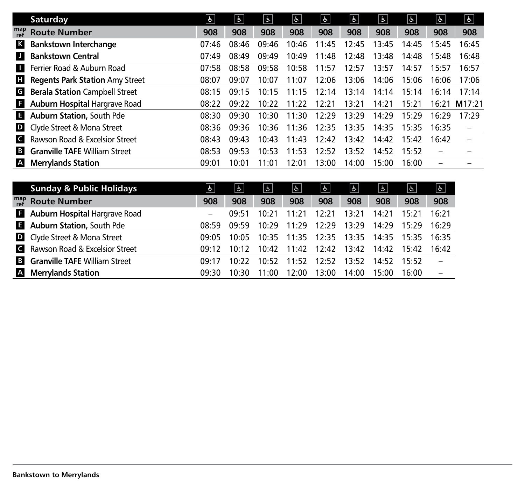|              | Saturday                               | $\mathfrak{S}$ | ا چ   | $\Delta$ | $\overline{b}$ | $\sigma$ | $\frac{1}{2}$ | $\sigma$ | $\sigma$ | $\sigma$                 | $\boxed{6}$              |
|--------------|----------------------------------------|----------------|-------|----------|----------------|----------|---------------|----------|----------|--------------------------|--------------------------|
| map<br>ref   | <b>Route Number</b>                    | 908            | 908   | 908      | 908            | 908      | 908           | 908      | 908      | 908                      | 908                      |
| K            | <b>Bankstown Interchange</b>           | 07:46          | 08:46 | 09:46    | 10:46          | 11:45    | 12:45         | 13:45    | 14:45    | 15:45                    | 16:45                    |
| D.           | <b>Bankstown Central</b>               | 07:49          | 08:49 | 09:49    | 10:49          | 11:48    | 12:48         | 13:48    | 14:48    | 15:48                    | 16:48                    |
| п            | Ferrier Road & Auburn Road             | 07:58          | 08:58 | 09:58    | 10:58          | 11:57    | 12:57         | 13:57    | 14:57    | 15:57                    | 16:57                    |
| н            | <b>Regents Park Station Amy Street</b> | 08:07          | 09:07 | 10:07    | 11:07          | 12:06    | 13:06         | 14:06    | 15:06    | 16:06                    | 17:06                    |
| G            | <b>Berala Station Campbell Street</b>  | 08:15          | 09:15 | 10:15    | 11:15          | 12:14    | 13:14         | 14:14    | 15:14    | 16:14                    | 17.14                    |
| Е            | <b>Auburn Hospital Hargrave Road</b>   | 08:22          | 09:22 | 10.22    | 11.22          | 12:21    | 13:21         | 14:21    | 15:21    | 16:21                    | M17:21                   |
| E            | <b>Auburn Station, South Pde</b>       | 08:30          | 09:30 | 10:30    | 11:30          | 12:29    | 13:29         | 14:29    | 15:29    | 16:29                    | 17.29                    |
| D            | Clyde Street & Mona Street             | 08:36          | 09:36 | 10:36    | 11:36          | 12:35    | 13:35         | 14:35    | 15:35    | 16:35                    | $\overline{\phantom{0}}$ |
| $\mathsf{C}$ | Rawson Road & Excelsior Street         | 08:43          | 09:43 | 10:43    | 11:43          | 12:42    | 13:42         | 14:42    | 15:42    | 16.42                    |                          |
| B            | <b>Granville TAFE William Street</b>   | 08:53          | 09:53 | 10:53    | 11:53          | 12:52    | 13:52         | 14:52    | 15:52    | $\overline{\phantom{m}}$ |                          |
| A            | <b>Merrylands Station</b>              | 09:01          | 10:01 | 11:01    | 12:01          | 13:00    | 14:00         | 15:00    | 16:00    |                          |                          |

|              | <b>Sunday &amp; Public Holidays</b>  | s                        | $\mathfrak{S}$ | န္    | န $\mid$ | $ \mathbf{e} $ | $ \mathbf{e} $ | $ \mathbf{t} $    | $ \epsilon $ | $ \mathbf{t} $ |
|--------------|--------------------------------------|--------------------------|----------------|-------|----------|----------------|----------------|-------------------|--------------|----------------|
| map<br>ref   | <b>Route Number</b>                  | 908                      | 908            | 908   | 908      | 908            | 908            | 908               | 908          | 908            |
| н            | <b>Auburn Hospital Hargrave Road</b> | $\overline{\phantom{0}}$ | 09.51          | 10.21 | 11.21    | 12.21          | 13:21          | 14:21             | 15:21        | 16.21          |
| В.           | <b>Auburn Station, South Pde</b>     | 08:59                    | 09:59          | 10:29 | 11:29    | 12.29          | 13:29          | 14:29             | 15.29        | 16.29          |
| $\mathbf{D}$ | Clyde Street & Mona Street           | 09.05                    | 10.05          | 10:35 | 11.35    |                |                | 12:35 13:35 14:35 | 15.35        | 16.35          |
| $\mathsf{C}$ | Rawson Road & Excelsior Street       | 09.12                    | 10.12          | 10.42 | 11:42    | 12:42          | 13:42          | 14.42             | 15:42        | 16.42          |
| B            | <b>Granville TAFE William Street</b> | 09.17                    | 10.22          | 10.52 | 11.52    | 12.52          | 13.52          | 14.52             | 15:52        |                |
| A            | <b>Merrylands Station</b>            | 09:30                    | 10.30          | 11:00 | 12:00    | 13:00          | 14:00          | 15:00             | 16:00        |                |